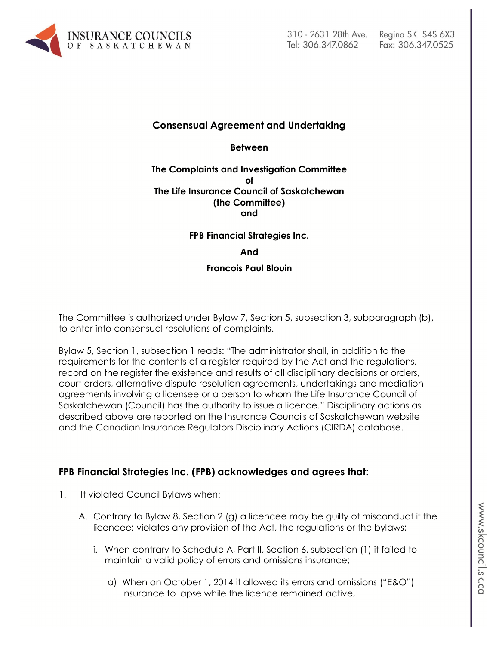

## **Consensual Agreement and Undertaking**

**Between**

#### **The Complaints and Investigation Committee of The Life Insurance Council of Saskatchewan (the Committee) and**

#### **FPB Financial Strategies Inc.**

#### **And**

#### **Francois Paul Blouin**

The Committee is authorized under Bylaw 7, Section 5, subsection 3, subparagraph (b), to enter into consensual resolutions of complaints.

Bylaw 5, Section 1, subsection 1 reads: "The administrator shall, in addition to the requirements for the contents of a register required by the Act and the regulations, record on the register the existence and results of all disciplinary decisions or orders, court orders, alternative dispute resolution agreements, undertakings and mediation agreements involving a licensee or a person to whom the Life Insurance Council of Saskatchewan (Council) has the authority to issue a licence." Disciplinary actions as described above are reported on the Insurance Councils of Saskatchewan website and the Canadian Insurance Regulators Disciplinary Actions (CIRDA) database.

## **FPB Financial Strategies Inc. (FPB) acknowledges and agrees that:**

- 1. It violated Council Bylaws when:
	- A. Contrary to Bylaw 8, Section 2 (g) a licencee may be guilty of misconduct if the licencee: violates any provision of the Act, the regulations or the bylaws;
		- i. When contrary to Schedule A, Part II, Section 6, subsection (1) it failed to maintain a valid policy of errors and omissions insurance;
			- a) When on October 1, 2014 it allowed its errors and omissions ("E&O") insurance to lapse while the licence remained active,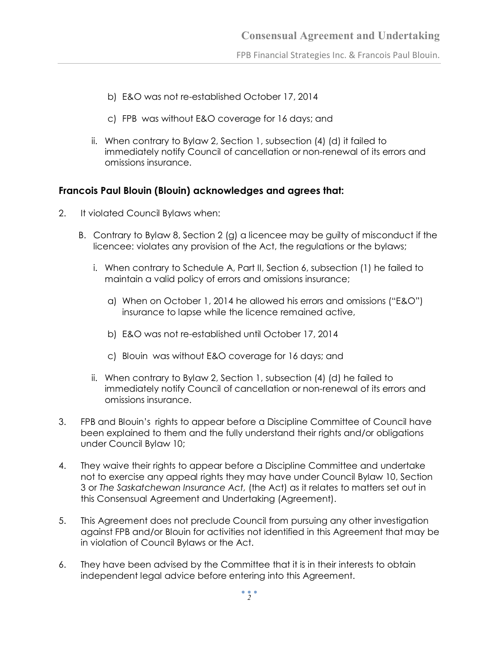- b) E&O was not re-established October 17, 2014
- c) FPB was without E&O coverage for 16 days; and
- ii. When contrary to Bylaw 2, Section 1, subsection (4) (d) it failed to immediately notify Council of cancellation or non-renewal of its errors and omissions insurance.

## **Francois Paul Blouin (Blouin) acknowledges and agrees that:**

- 2. It violated Council Bylaws when:
	- B. Contrary to Bylaw 8, Section 2 (g) a licencee may be guilty of misconduct if the licencee: violates any provision of the Act, the regulations or the bylaws;
		- i. When contrary to Schedule A, Part II, Section 6, subsection (1) he failed to maintain a valid policy of errors and omissions insurance;
			- a) When on October 1, 2014 he allowed his errors and omissions ("E&O") insurance to lapse while the licence remained active,
			- b) E&O was not re-established until October 17, 2014
			- c) Blouin was without E&O coverage for 16 days; and
		- ii. When contrary to Bylaw 2, Section 1, subsection (4) (d) he failed to immediately notify Council of cancellation or non-renewal of its errors and omissions insurance.
- 3. FPB and Blouin's rights to appear before a Discipline Committee of Council have been explained to them and the fully understand their rights and/or obligations under Council Bylaw 10;
- 4. They waive their rights to appear before a Discipline Committee and undertake not to exercise any appeal rights they may have under Council Bylaw 10, Section 3 or *The Saskatchewan Insurance Act,* (the Act) as it relates to matters set out in this Consensual Agreement and Undertaking (Agreement).
- 5. This Agreement does not preclude Council from pursuing any other investigation against FPB and/or Blouin for activities not identified in this Agreement that may be in violation of Council Bylaws or the Act.
- 6. They have been advised by the Committee that it is in their interests to obtain independent legal advice before entering into this Agreement.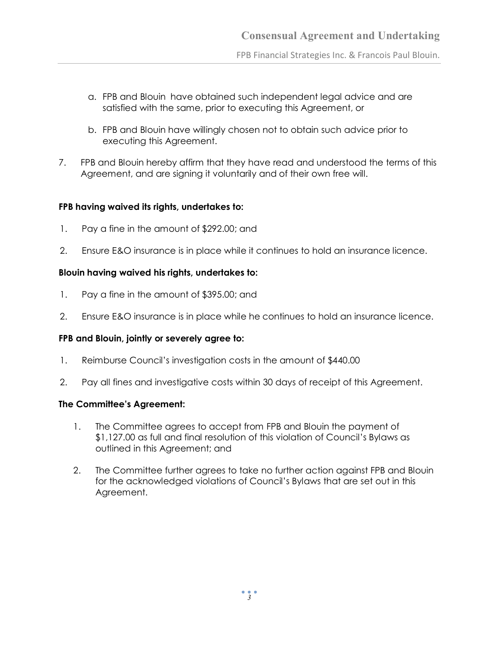FPB Financial Strategies Inc. & Francois Paul Blouin.

- a. FPB and Blouin have obtained such independent legal advice and are satisfied with the same, prior to executing this Agreement, or
- b. FPB and Blouin have willingly chosen not to obtain such advice prior to executing this Agreement.
- 7. FPB and Blouin hereby affirm that they have read and understood the terms of this Agreement, and are signing it voluntarily and of their own free will.

## **FPB having waived its rights, undertakes to:**

- 1. Pay a fine in the amount of \$292.00; and
- 2. Ensure E&O insurance is in place while it continues to hold an insurance licence.

# **Blouin having waived his rights, undertakes to:**

- 1. Pay a fine in the amount of \$395.00; and
- 2. Ensure E&O insurance is in place while he continues to hold an insurance licence.

## **FPB and Blouin, jointly or severely agree to:**

- 1. Reimburse Council's investigation costs in the amount of \$440.00
- 2. Pay all fines and investigative costs within 30 days of receipt of this Agreement.

## **The Committee's Agreement:**

- 1. The Committee agrees to accept from FPB and Blouin the payment of \$1,127.00 as full and final resolution of this violation of Council's Bylaws as outlined in this Agreement; and
- 2. The Committee further agrees to take no further action against FPB and Blouin for the acknowledged violations of Council's Bylaws that are set out in this Agreement.